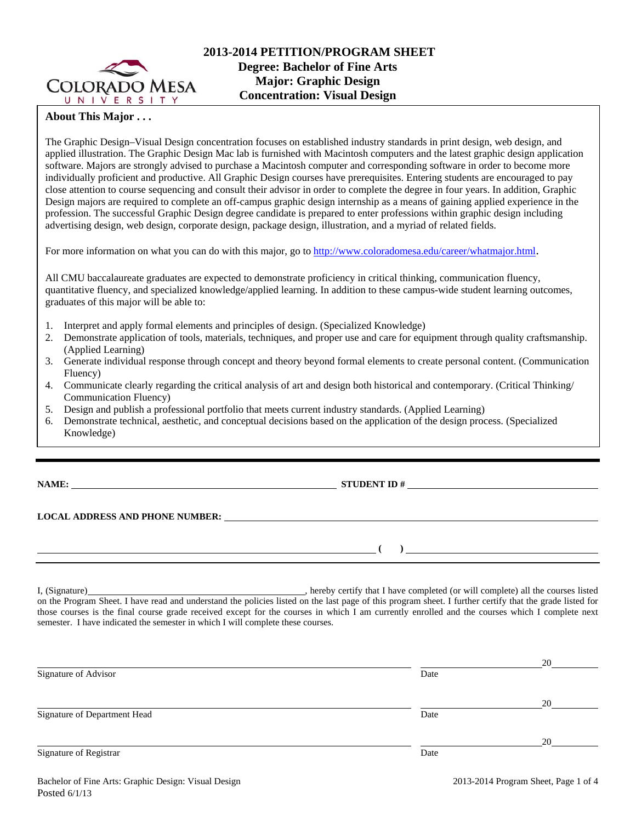

## **About This Major . . .**

The Graphic Design–Visual Design concentration focuses on established industry standards in print design, web design, and applied illustration. The Graphic Design Mac lab is furnished with Macintosh computers and the latest graphic design application software. Majors are strongly advised to purchase a Macintosh computer and corresponding software in order to become more individually proficient and productive. All Graphic Design courses have prerequisites. Entering students are encouraged to pay close attention to course sequencing and consult their advisor in order to complete the degree in four years. In addition, Graphic Design majors are required to complete an off-campus graphic design internship as a means of gaining applied experience in the profession. The successful Graphic Design degree candidate is prepared to enter professions within graphic design including advertising design, web design, corporate design, package design, illustration, and a myriad of related fields.

For more information on what you can do with this major, go to http://www.coloradomesa.edu/career/whatmajor.html.

All CMU baccalaureate graduates are expected to demonstrate proficiency in critical thinking, communication fluency, quantitative fluency, and specialized knowledge/applied learning. In addition to these campus-wide student learning outcomes, graduates of this major will be able to:

- 1. Interpret and apply formal elements and principles of design. (Specialized Knowledge)
- 2. Demonstrate application of tools, materials, techniques, and proper use and care for equipment through quality craftsmanship. (Applied Learning)
- 3. Generate individual response through concept and theory beyond formal elements to create personal content. (Communication Fluency)
- 4. Communicate clearly regarding the critical analysis of art and design both historical and contemporary. (Critical Thinking/ Communication Fluency)
- 5. Design and publish a professional portfolio that meets current industry standards. (Applied Learning)
- 6. Demonstrate technical, aesthetic, and conceptual decisions based on the application of the design process. (Specialized Knowledge)

**NAME: STUDENT ID #** 

**LOCAL ADDRESS AND PHONE NUMBER:**

 $($   $)$   $)$ 

I, (Signature) hereby certify that I have completed (or will complete) all the courses listed on the Program Sheet. I have read and understand the policies listed on the last page of this program sheet. I further certify that the grade listed for those courses is the final course grade received except for the courses in which I am currently enrolled and the courses which I complete next semester. I have indicated the semester in which I will complete these courses.

|                              |      | 20 |
|------------------------------|------|----|
| Signature of Advisor         | Date |    |
|                              |      | 20 |
| Signature of Department Head | Date |    |
|                              |      | 20 |
| Signature of Registrar       | Date |    |
|                              |      |    |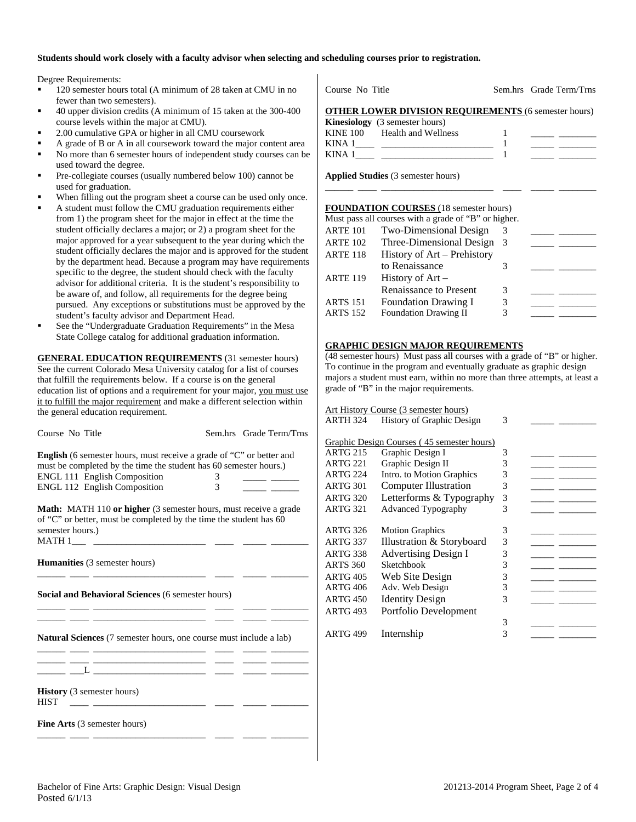#### **Students should work closely with a faculty advisor when selecting and scheduling courses prior to registration.**

Degree Requirements:

- 120 semester hours total (A minimum of 28 taken at CMU in no fewer than two semesters).
- 40 upper division credits (A minimum of 15 taken at the 300-400 course levels within the major at CMU).
- 2.00 cumulative GPA or higher in all CMU coursework
- A grade of B or A in all coursework toward the major content area
- No more than 6 semester hours of independent study courses can be used toward the degree.
- Pre-collegiate courses (usually numbered below 100) cannot be used for graduation.
- When filling out the program sheet a course can be used only once.
- A student must follow the CMU graduation requirements either from 1) the program sheet for the major in effect at the time the student officially declares a major; or 2) a program sheet for the major approved for a year subsequent to the year during which the student officially declares the major and is approved for the student by the department head. Because a program may have requirements specific to the degree, the student should check with the faculty advisor for additional criteria. It is the student's responsibility to be aware of, and follow, all requirements for the degree being pursued. Any exceptions or substitutions must be approved by the student's faculty advisor and Department Head.
- See the "Undergraduate Graduation Requirements" in the Mesa State College catalog for additional graduation information.

**GENERAL EDUCATION REQUIREMENTS** (31 semester hours) See the current Colorado Mesa University catalog for a list of courses that fulfill the requirements below. If a course is on the general education list of options and a requirement for your major, you must use it to fulfill the major requirement and make a different selection within the general education requirement.

| Course No Title                                                                                                                                                                                                         |                          | Sem.hrs Grade Term/Trns |
|-------------------------------------------------------------------------------------------------------------------------------------------------------------------------------------------------------------------------|--------------------------|-------------------------|
| <b>English</b> (6 semester hours, must receive a grade of "C" or better and<br>must be completed by the time the student has 60 semester hours.)<br>ENGL 111 English Composition<br><b>ENGL 112 English Composition</b> | 3<br>$\mathfrak{Z}$      |                         |
| <b>Math:</b> MATH 110 or higher (3 semester hours, must receive a grade<br>of "C" or better, must be completed by the time the student has 60<br>semester hours.)                                                       |                          |                         |
| <b>Humanities</b> (3 semester hours)                                                                                                                                                                                    | $\overline{\phantom{a}}$ |                         |
| <b>Social and Behavioral Sciences (6 semester hours)</b><br><u> 2002 - Andrea Andrews, Amerikaansk politik (* 1920)</u>                                                                                                 |                          |                         |
| <b>Natural Sciences</b> (7 semester hours, one course must include a lab)<br><u> 1980 - Antonio Alemania, prima prestava a prestava a prestava a prestava a prestava a prestava a prestava a p</u>                      |                          |                         |
| <u> 1980 - Antonio Alemania, prima prestava a prestava de la provincia de la provincia de la provincia de la pro</u>                                                                                                    |                          |                         |
| <b>History</b> (3 semester hours)<br><b>HIST</b>                                                                                                                                                                        |                          |                         |
| <b>Fine Arts</b> (3 semester hours)                                                                                                                                                                                     |                          |                         |

Course No Title Sem.hrs Grade Term/Trns

### **OTHER LOWER DIVISION REQUIREMENTS** (6 semester hours)

|          | <b>Kinesiology</b> (3 semester hours) |  |
|----------|---------------------------------------|--|
| KINE 100 | Health and Wellness                   |  |
| KINA 1   |                                       |  |
| KINA 1   |                                       |  |
|          |                                       |  |

\_\_\_\_\_\_ \_\_\_\_ \_\_\_\_\_\_\_\_\_\_\_\_\_\_\_\_\_\_\_\_\_\_\_\_ \_\_\_\_ \_\_\_\_\_ \_\_\_\_\_\_\_\_

**Applied Studies** (3 semester hours)

#### **FOUNDATION COURSES** (18 semester hours)

| Two-Dimensional Design      |    |                                                      |  |
|-----------------------------|----|------------------------------------------------------|--|
| Three-Dimensional Design    | -3 |                                                      |  |
| History of Art - Prehistory |    |                                                      |  |
| to Renaissance              |    |                                                      |  |
| History of $Art -$          |    |                                                      |  |
| Renaissance to Present      | 3  |                                                      |  |
| <b>Foundation Drawing I</b> | 3  |                                                      |  |
| Foundation Drawing II       |    |                                                      |  |
|                             |    | Must pass all courses with a grade of "B" or higher. |  |

### **GRAPHIC DESIGN MAJOR REQUIREMENTS**

(48 semester hours) Must pass all courses with a grade of "B" or higher. To continue in the program and eventually graduate as graphic design majors a student must earn, within no more than three attempts, at least a grade of "B" in the major requirements.

| Art History Course (3 semester hours) |                                            |   |  |  |
|---------------------------------------|--------------------------------------------|---|--|--|
| ARTH 324                              | History of Graphic Design                  | 3 |  |  |
|                                       |                                            |   |  |  |
|                                       | Graphic Design Courses (45 semester hours) |   |  |  |
| <b>ARTG 215</b>                       | Graphic Design I                           | 3 |  |  |
| <b>ARTG 221</b>                       | Graphic Design II                          | 3 |  |  |
| <b>ARTG 224</b>                       | Intro. to Motion Graphics                  | 3 |  |  |
| <b>ARTG 301</b>                       | <b>Computer Illustration</b>               | 3 |  |  |
| <b>ARTG 320</b>                       | Letterforms & Typography                   | 3 |  |  |
| ARTG 321                              | <b>Advanced Typography</b>                 | 3 |  |  |
|                                       |                                            |   |  |  |
| ARTG 326                              | <b>Motion Graphics</b>                     | 3 |  |  |
| <b>ARTG 337</b>                       | Illustration & Storyboard                  | 3 |  |  |
| ARTG 338                              | Advertising Design I                       | 3 |  |  |
| <b>ARTS 360</b>                       | Sketchbook                                 | 3 |  |  |
| <b>ARTG 405</b>                       | Web Site Design                            | 3 |  |  |
| ARTG 406                              | Adv. Web Design                            | 3 |  |  |
| ARTG 450                              | <b>Identity Design</b>                     | 3 |  |  |
| <b>ARTG 493</b>                       | Portfolio Development                      |   |  |  |
|                                       |                                            | 3 |  |  |
| <b>ARTG 499</b>                       | Internship                                 | 3 |  |  |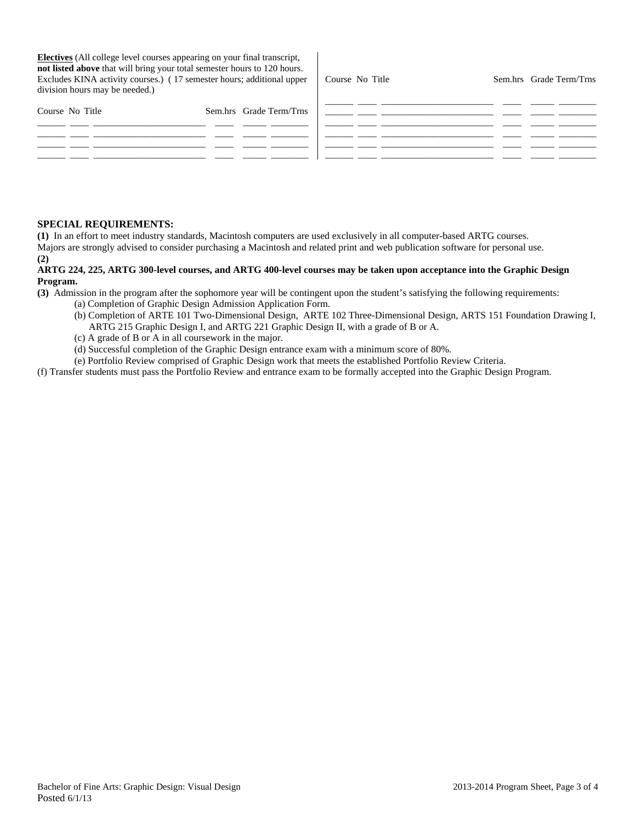**Electives** (All college level courses appearing on your final transcript, **not listed above** that will bring your total semester hours to 120 hours. Excludes KINA activity courses.) ( 17 semester hours; additional upper division hours may be needed.)

Course No Title Sem.hrs Grade Term/Trns \_\_\_\_\_\_ \_\_\_\_ \_\_\_\_\_\_\_\_\_\_\_\_\_\_\_\_\_\_\_\_\_\_\_\_ \_\_\_\_ \_\_\_\_\_ \_\_\_\_\_\_\_\_

| Course No Title | Sem.hrs Grade Term/Trns |  |  |
|-----------------|-------------------------|--|--|
|                 |                         |  |  |
|                 |                         |  |  |
|                 |                         |  |  |
|                 |                         |  |  |

### **SPECIAL REQUIREMENTS:**

**(1)** In an effort to meet industry standards, Macintosh computers are used exclusively in all computer-based ARTG courses. Majors are strongly advised to consider purchasing a Macintosh and related print and web publication software for personal use. **(2)**

## **ARTG 224, 225, ARTG 300-level courses, and ARTG 400-level courses may be taken upon acceptance into the Graphic Design Program.**

**(3)** Admission in the program after the sophomore year will be contingent upon the student's satisfying the following requirements:

- (a) Completion of Graphic Design Admission Application Form.
- (b) Completion of ARTE 101 Two-Dimensional Design, ARTE 102 Three-Dimensional Design, ARTS 151 Foundation Drawing I, ARTG 215 Graphic Design I, and ARTG 221 Graphic Design II, with a grade of B or A.
- (c) A grade of B or A in all coursework in the major.
- (d) Successful completion of the Graphic Design entrance exam with a minimum score of 80%.

(e) Portfolio Review comprised of Graphic Design work that meets the established Portfolio Review Criteria.

(f) Transfer students must pass the Portfolio Review and entrance exam to be formally accepted into the Graphic Design Program.